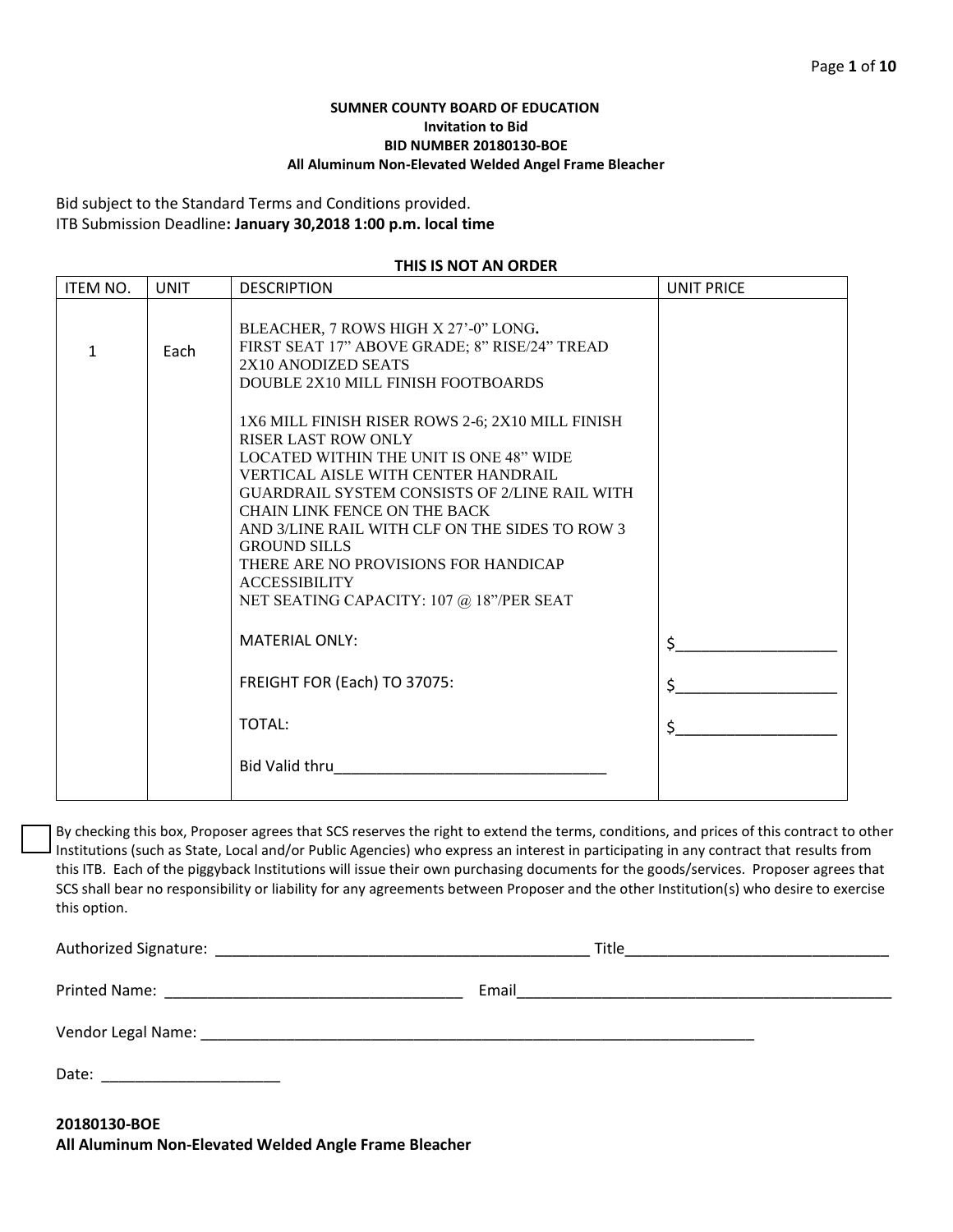## **SUMNER COUNTY BOARD OF EDUCATION Invitation to Bid BID NUMBER 20180130-BOE All Aluminum Non-Elevated Welded Angel Frame Bleacher**

Bid subject to the Standard Terms and Conditions provided. ITB Submission Deadline**: January 30,2018 1:00 p.m. local time**

#### **THIS IS NOT AN ORDER**

| <b>ITEM NO.</b> | <b>UNIT</b> | <b>DESCRIPTION</b>                                                                                                                                                                                                                                                                                                                                                                                                                                          | <b>UNIT PRICE</b> |
|-----------------|-------------|-------------------------------------------------------------------------------------------------------------------------------------------------------------------------------------------------------------------------------------------------------------------------------------------------------------------------------------------------------------------------------------------------------------------------------------------------------------|-------------------|
| $\mathbf{1}$    | Each        | BLEACHER, 7 ROWS HIGH X 27'-0" LONG.<br>FIRST SEAT 17" ABOVE GRADE; 8" RISE/24" TREAD<br>2X10 ANODIZED SEATS<br>DOUBLE 2X10 MILL FINISH FOOTBOARDS                                                                                                                                                                                                                                                                                                          |                   |
|                 |             | 1X6 MILL FINISH RISER ROWS 2-6; 2X10 MILL FINISH<br><b>RISER LAST ROW ONLY</b><br><b>LOCATED WITHIN THE UNIT IS ONE 48" WIDE</b><br>VERTICAL AISLE WITH CENTER HANDRAIL<br><b>GUARDRAIL SYSTEM CONSISTS OF 2/LINE RAIL WITH</b><br><b>CHAIN LINK FENCE ON THE BACK</b><br>AND 3/LINE RAIL WITH CLF ON THE SIDES TO ROW 3<br><b>GROUND SILLS</b><br>THERE ARE NO PROVISIONS FOR HANDICAP<br><b>ACCESSIBILITY</b><br>NET SEATING CAPACITY: 107 @ 18"/PER SEAT |                   |
|                 |             | <b>MATERIAL ONLY:</b>                                                                                                                                                                                                                                                                                                                                                                                                                                       | \$_               |
|                 |             | FREIGHT FOR (Each) TO 37075:                                                                                                                                                                                                                                                                                                                                                                                                                                | $\zeta$           |
|                 |             | TOTAL:                                                                                                                                                                                                                                                                                                                                                                                                                                                      | \$                |
|                 |             | Bid Valid thru                                                                                                                                                                                                                                                                                                                                                                                                                                              |                   |

By checking this box, Proposer agrees that SCS reserves the right to extend the terms, conditions, and prices of this contract to other Institutions (such as State, Local and/or Public Agencies) who express an interest in participating in any contract that results from this ITB. Each of the piggyback Institutions will issue their own purchasing documents for the goods/services. Proposer agrees that SCS shall bear no responsibility or liability for any agreements between Proposer and the other Institution(s) who desire to exercise this option.

Authorized Signature: \_\_\_\_\_\_\_\_\_\_\_\_\_\_\_\_\_\_\_\_\_\_\_\_\_\_\_\_\_\_\_\_\_\_\_\_\_\_\_\_\_\_\_\_ Title\_\_\_\_\_\_\_\_\_\_\_\_\_\_\_\_\_\_\_\_\_\_\_\_\_\_\_\_\_\_\_ Printed Name: \_\_\_\_\_\_\_\_\_\_\_\_\_\_\_\_\_\_\_\_\_\_\_\_\_\_\_\_\_\_\_\_\_\_\_ Email\_\_\_\_\_\_\_\_\_\_\_\_\_\_\_\_\_\_\_\_\_\_\_\_\_\_\_\_\_\_\_\_\_\_\_\_\_\_\_\_\_\_\_\_ Vendor Legal Name: \_\_\_\_\_\_\_\_\_\_\_\_\_\_\_\_\_\_\_\_\_\_\_\_\_\_\_\_\_\_\_\_\_\_\_\_\_\_\_\_\_\_\_\_\_\_\_\_\_\_\_\_\_\_\_\_\_\_\_\_\_\_\_\_\_ Date: \_\_\_\_\_\_\_\_\_\_\_\_\_\_\_\_\_\_\_\_\_

**20180130-BOE All Aluminum Non-Elevated Welded Angle Frame Bleacher**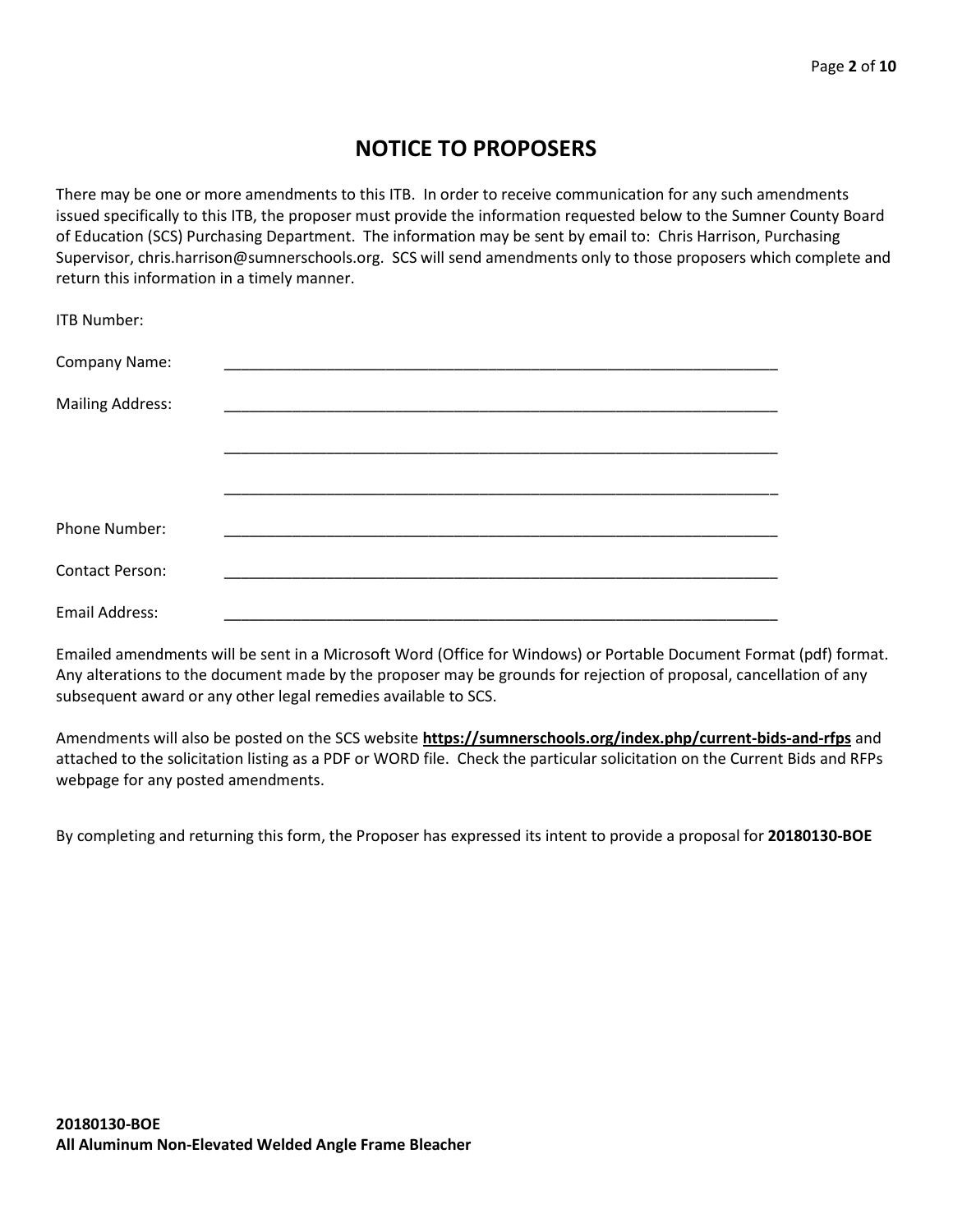# **NOTICE TO PROPOSERS**

There may be one or more amendments to this ITB. In order to receive communication for any such amendments issued specifically to this ITB, the proposer must provide the information requested below to the Sumner County Board of Education (SCS) Purchasing Department. The information may be sent by email to: Chris Harrison, Purchasing Supervisor, chris.harrison@sumnerschools.org. SCS will send amendments only to those proposers which complete and return this information in a timely manner.

| <b>ITB Number:</b>      |  |  |  |
|-------------------------|--|--|--|
| Company Name:           |  |  |  |
| <b>Mailing Address:</b> |  |  |  |
|                         |  |  |  |
|                         |  |  |  |
| Phone Number:           |  |  |  |
| <b>Contact Person:</b>  |  |  |  |
| <b>Email Address:</b>   |  |  |  |

Emailed amendments will be sent in a Microsoft Word (Office for Windows) or Portable Document Format (pdf) format. Any alterations to the document made by the proposer may be grounds for rejection of proposal, cancellation of any subsequent award or any other legal remedies available to SCS.

Amendments will also be posted on the SCS website **https://sumnerschools.org/index.php/current-bids-and-rfps** and attached to the solicitation listing as a PDF or WORD file. Check the particular solicitation on the Current Bids and RFPs webpage for any posted amendments.

By completing and returning this form, the Proposer has expressed its intent to provide a proposal for **20180130-BOE**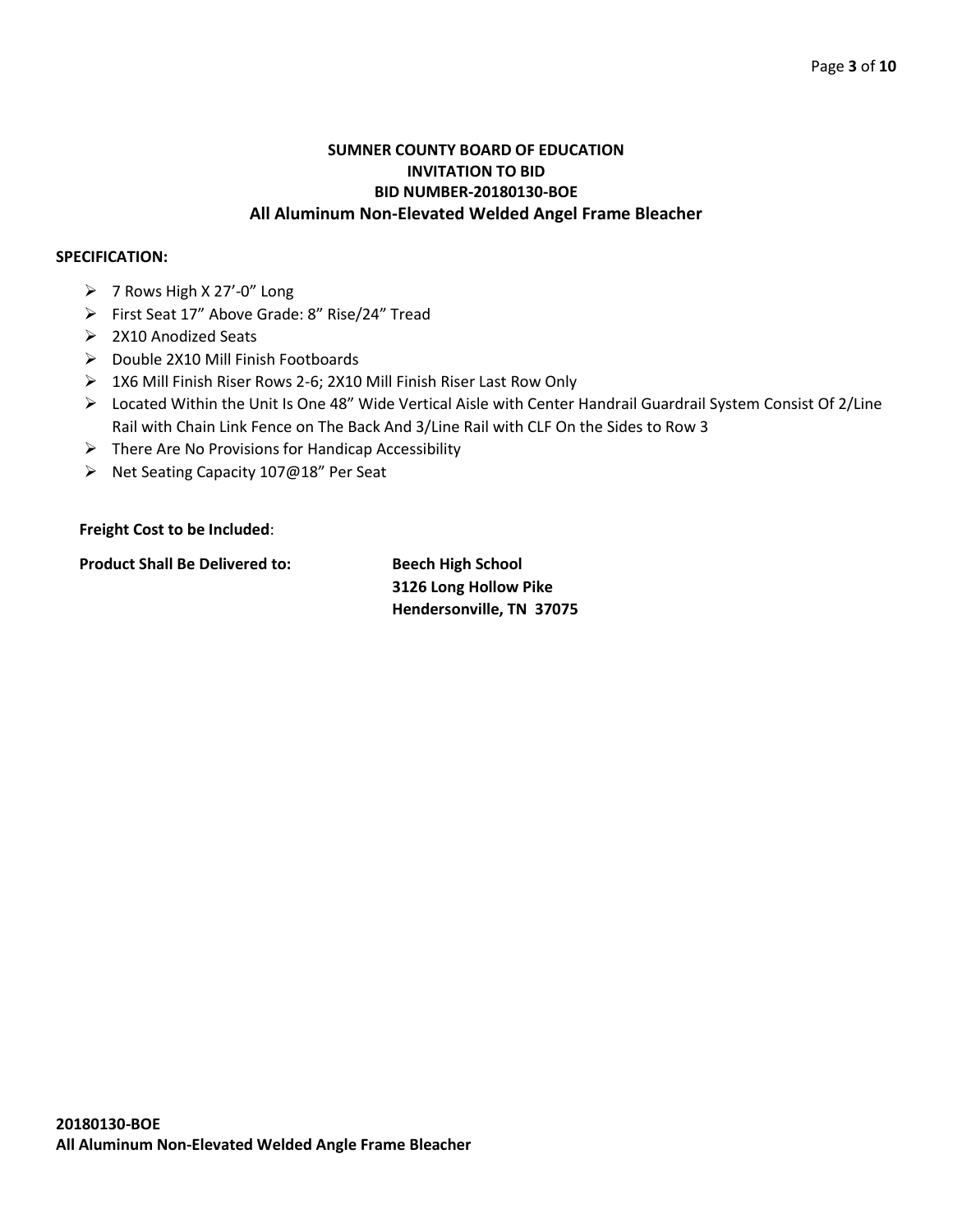## **SUMNER COUNTY BOARD OF EDUCATION INVITATION TO BID BID NUMBER-20180130-BOE All Aluminum Non-Elevated Welded Angel Frame Bleacher**

## **SPECIFICATION:**

- ➢ 7 Rows High X 27'-0" Long
- ➢ First Seat 17" Above Grade: 8" Rise/24" Tread
- ➢ 2X10 Anodized Seats
- ➢ Double 2X10 Mill Finish Footboards
- ➢ 1X6 Mill Finish Riser Rows 2-6; 2X10 Mill Finish Riser Last Row Only
- ➢ Located Within the Unit Is One 48" Wide Vertical Aisle with Center Handrail Guardrail System Consist Of 2/Line Rail with Chain Link Fence on The Back And 3/Line Rail with CLF On the Sides to Row 3
- $\triangleright$  There Are No Provisions for Handicap Accessibility
- ➢ Net Seating Capacity 107@18" Per Seat

## **Freight Cost to be Included**:

**Product Shall Be Delivered to: Beech High School**

**3126 Long Hollow Pike Hendersonville, TN 37075**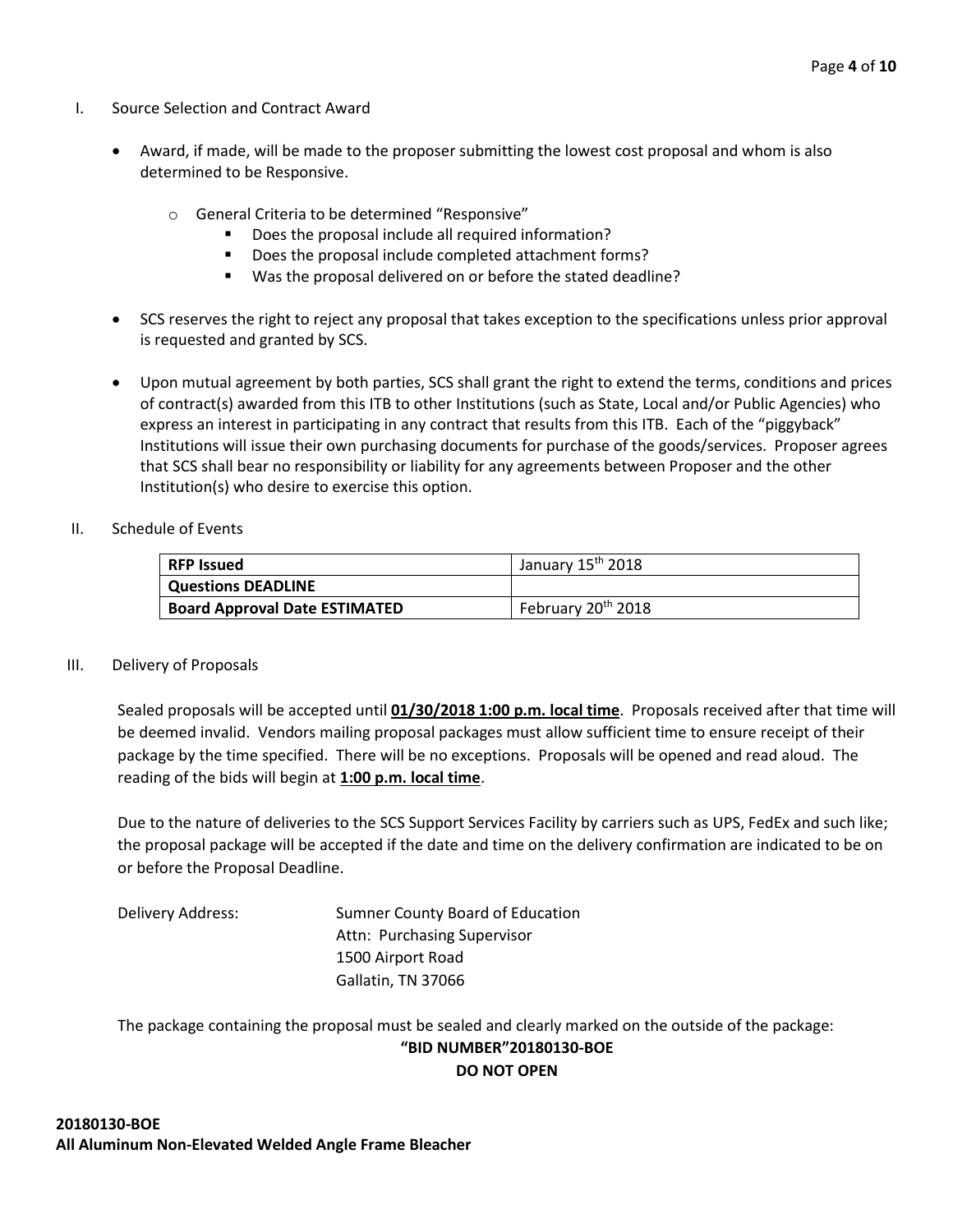- I. Source Selection and Contract Award
	- Award, if made, will be made to the proposer submitting the lowest cost proposal and whom is also determined to be Responsive.
		- o General Criteria to be determined "Responsive"
			- Does the proposal include all required information?
			- Does the proposal include completed attachment forms?
			- Was the proposal delivered on or before the stated deadline?
	- SCS reserves the right to reject any proposal that takes exception to the specifications unless prior approval is requested and granted by SCS.
	- Upon mutual agreement by both parties, SCS shall grant the right to extend the terms, conditions and prices of contract(s) awarded from this ITB to other Institutions (such as State, Local and/or Public Agencies) who express an interest in participating in any contract that results from this ITB. Each of the "piggyback" Institutions will issue their own purchasing documents for purchase of the goods/services. Proposer agrees that SCS shall bear no responsibility or liability for any agreements between Proposer and the other Institution(s) who desire to exercise this option.
- II. Schedule of Events

| <b>RFP Issued</b>                    | January 15 <sup>th</sup> 2018  |
|--------------------------------------|--------------------------------|
| <b>Questions DEADLINE</b>            |                                |
| <b>Board Approval Date ESTIMATED</b> | February 20 <sup>th</sup> 2018 |

#### III. Delivery of Proposals

Sealed proposals will be accepted until **01/30/2018 1:00 p.m. local time**. Proposals received after that time will be deemed invalid. Vendors mailing proposal packages must allow sufficient time to ensure receipt of their package by the time specified. There will be no exceptions. Proposals will be opened and read aloud. The reading of the bids will begin at **1:00 p.m. local time**.

Due to the nature of deliveries to the SCS Support Services Facility by carriers such as UPS, FedEx and such like; the proposal package will be accepted if the date and time on the delivery confirmation are indicated to be on or before the Proposal Deadline.

Delivery Address: Sumner County Board of Education Attn: Purchasing Supervisor 1500 Airport Road Gallatin, TN 37066

The package containing the proposal must be sealed and clearly marked on the outside of the package: **"BID NUMBER"20180130-BOE DO NOT OPEN**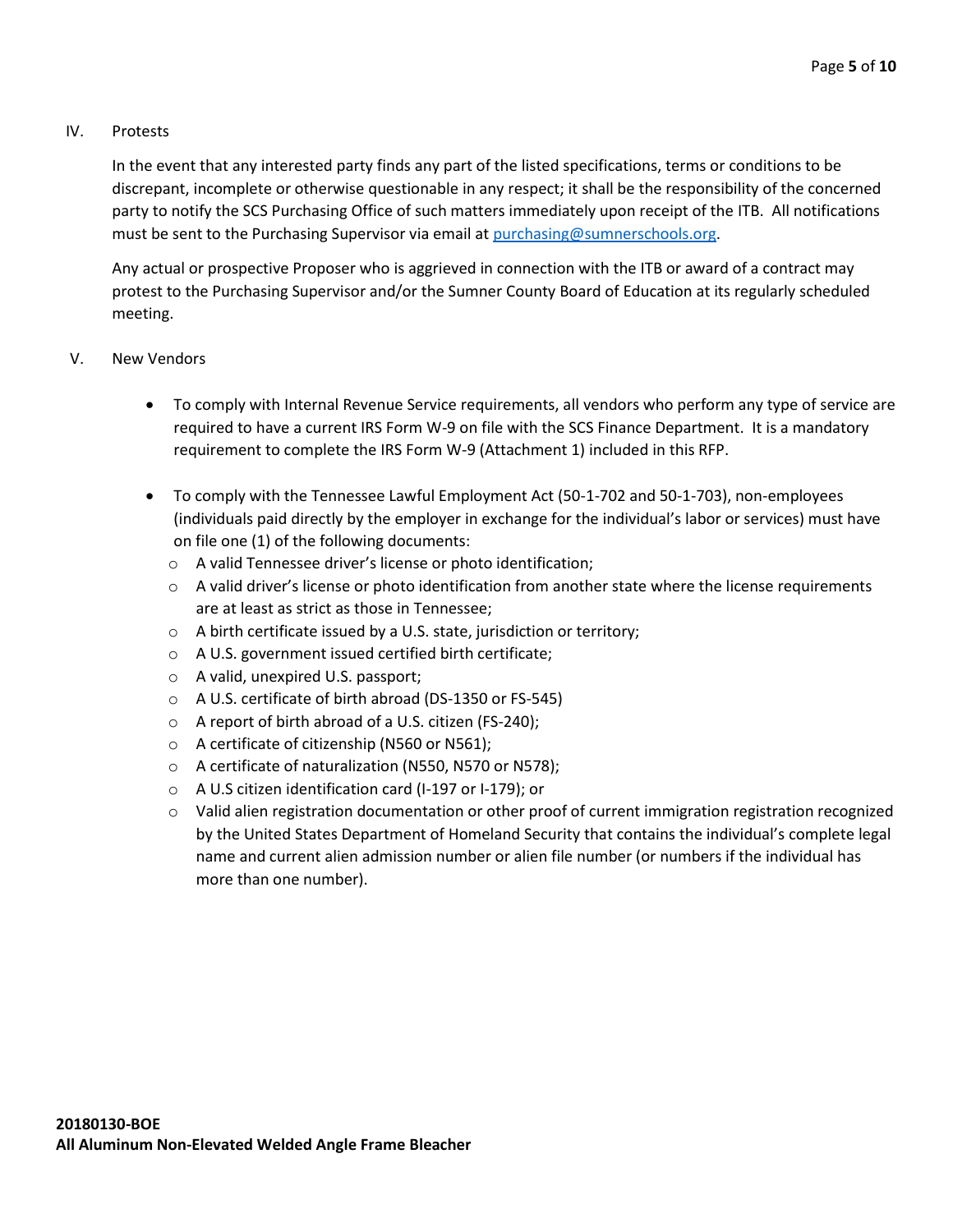## IV. Protests

In the event that any interested party finds any part of the listed specifications, terms or conditions to be discrepant, incomplete or otherwise questionable in any respect; it shall be the responsibility of the concerned party to notify the SCS Purchasing Office of such matters immediately upon receipt of the ITB. All notifications must be sent to the Purchasing Supervisor via email at [purchasing@sumnerschools.org.](mailto:purchasing@sumnerschools.org)

Any actual or prospective Proposer who is aggrieved in connection with the ITB or award of a contract may protest to the Purchasing Supervisor and/or the Sumner County Board of Education at its regularly scheduled meeting.

- V. New Vendors
	- To comply with Internal Revenue Service requirements, all vendors who perform any type of service are required to have a current IRS Form W-9 on file with the SCS Finance Department. It is a mandatory requirement to complete the IRS Form W-9 (Attachment 1) included in this RFP.
	- To comply with the Tennessee Lawful Employment Act (50-1-702 and 50-1-703), non-employees (individuals paid directly by the employer in exchange for the individual's labor or services) must have on file one (1) of the following documents:
		- o A valid Tennessee driver's license or photo identification;
		- $\circ$  A valid driver's license or photo identification from another state where the license requirements are at least as strict as those in Tennessee;
		- o A birth certificate issued by a U.S. state, jurisdiction or territory;
		- o A U.S. government issued certified birth certificate;
		- o A valid, unexpired U.S. passport;
		- o A U.S. certificate of birth abroad (DS-1350 or FS-545)
		- o A report of birth abroad of a U.S. citizen (FS-240);
		- o A certificate of citizenship (N560 or N561);
		- o A certificate of naturalization (N550, N570 or N578);
		- o A U.S citizen identification card (I-197 or I-179); or
		- o Valid alien registration documentation or other proof of current immigration registration recognized by the United States Department of Homeland Security that contains the individual's complete legal name and current alien admission number or alien file number (or numbers if the individual has more than one number).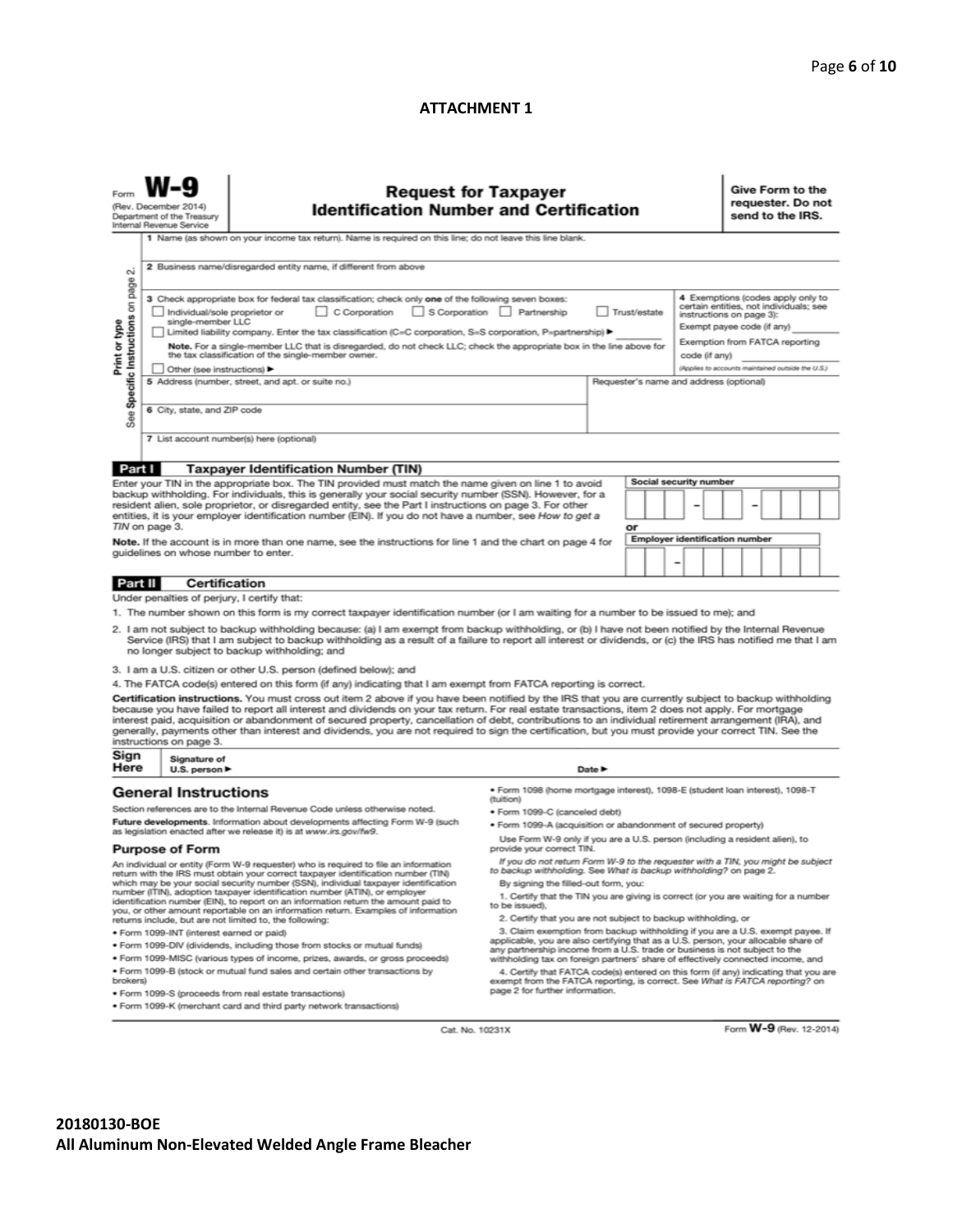## **ATTACHMENT 1**

| (Rev. December 2014)<br>Department of the Treasury<br>Internal Revenue Service                                                                                                                                                                                                                                                                                                                                                                                                                                                                                                                                                                                               |                                                                                                                              | <b>Request for Taxpayer</b><br><b>Identification Number and Certification</b>                                                                                                                                                                                                                                                                                                                                                                                                                                                                                                                                                                                                                                                                    |                                                                                                                                                                                                                                                                                           |                                                                                                                                                                                                                                                                                                          | Give Form to the<br>requester. Do not<br>send to the IRS. |  |
|------------------------------------------------------------------------------------------------------------------------------------------------------------------------------------------------------------------------------------------------------------------------------------------------------------------------------------------------------------------------------------------------------------------------------------------------------------------------------------------------------------------------------------------------------------------------------------------------------------------------------------------------------------------------------|------------------------------------------------------------------------------------------------------------------------------|--------------------------------------------------------------------------------------------------------------------------------------------------------------------------------------------------------------------------------------------------------------------------------------------------------------------------------------------------------------------------------------------------------------------------------------------------------------------------------------------------------------------------------------------------------------------------------------------------------------------------------------------------------------------------------------------------------------------------------------------------|-------------------------------------------------------------------------------------------------------------------------------------------------------------------------------------------------------------------------------------------------------------------------------------------|----------------------------------------------------------------------------------------------------------------------------------------------------------------------------------------------------------------------------------------------------------------------------------------------------------|-----------------------------------------------------------|--|
| οú                                                                                                                                                                                                                                                                                                                                                                                                                                                                                                                                                                                                                                                                           |                                                                                                                              | 1 Name (as shown on your income tax return). Name is required on this line; do not leave this line blank.<br>2 Business name/disregarded entity name, if different from above                                                                                                                                                                                                                                                                                                                                                                                                                                                                                                                                                                    |                                                                                                                                                                                                                                                                                           |                                                                                                                                                                                                                                                                                                          |                                                           |  |
| page<br>3 Check appropriate box for federal tax classification; check only one of the following seven boxes:<br>Specific Instructions on<br>C Corporation<br>S Corporation Partnership<br>Individual/sole proprietor or<br>Print or type<br>single-member LLC<br>Limited liability company. Enter the tax classification (C=C corporation, S=S corporation, P=partnership) ▶<br>Note. For a single-member LLC that is disregarded, do not check LLC; check the appropriate box in the line above for<br>the tax classification of the single-member owner.<br>Other (see instructions) ▶<br>5 Address (number, street, and apt. or suite no.)<br>6 City, state, and ZIP code |                                                                                                                              |                                                                                                                                                                                                                                                                                                                                                                                                                                                                                                                                                                                                                                                                                                                                                  |                                                                                                                                                                                                                                                                                           | 4 Exemptions (codes apply only to<br>certain entities, not individuals; see<br>Trust/estate<br>instructions on page 3):<br>Exempt payee code (if any)<br>Exemption from FATCA reporting<br>code (if any)<br>(Applies to accounts maintained outside the U.S.)<br>Requester's name and address (optional) |                                                           |  |
| See                                                                                                                                                                                                                                                                                                                                                                                                                                                                                                                                                                                                                                                                          |                                                                                                                              | 7 List account number(s) here (optional)                                                                                                                                                                                                                                                                                                                                                                                                                                                                                                                                                                                                                                                                                                         |                                                                                                                                                                                                                                                                                           |                                                                                                                                                                                                                                                                                                          |                                                           |  |
|                                                                                                                                                                                                                                                                                                                                                                                                                                                                                                                                                                                                                                                                              |                                                                                                                              |                                                                                                                                                                                                                                                                                                                                                                                                                                                                                                                                                                                                                                                                                                                                                  |                                                                                                                                                                                                                                                                                           |                                                                                                                                                                                                                                                                                                          |                                                           |  |
| Part I<br><b>Taxpayer Identification Number (TIN)</b><br>Enter your TIN in the appropriate box. The TIN provided must match the name given on line 1 to avoid<br>backup withholding. For individuals, this is generally your social security number (SSN). However, for a<br>resident alien, sole proprietor, or disregarded entity, see the Part I instructions on page 3. For other<br>entities, it is your employer identification number (EIN). If you do not have a number, see How to get a<br>TIN on page 3.<br>Note. If the account is in more than one name, see the instructions for line 1 and the chart on page 4 for<br>guidelines on whose number to enter.    |                                                                                                                              |                                                                                                                                                                                                                                                                                                                                                                                                                                                                                                                                                                                                                                                                                                                                                  | Social security number<br>or<br><b>Employer identification number</b>                                                                                                                                                                                                                     |                                                                                                                                                                                                                                                                                                          |                                                           |  |
| Part II                                                                                                                                                                                                                                                                                                                                                                                                                                                                                                                                                                                                                                                                      | Certification                                                                                                                |                                                                                                                                                                                                                                                                                                                                                                                                                                                                                                                                                                                                                                                                                                                                                  |                                                                                                                                                                                                                                                                                           |                                                                                                                                                                                                                                                                                                          |                                                           |  |
|                                                                                                                                                                                                                                                                                                                                                                                                                                                                                                                                                                                                                                                                              | Under penalties of perjury, I certify that:                                                                                  |                                                                                                                                                                                                                                                                                                                                                                                                                                                                                                                                                                                                                                                                                                                                                  |                                                                                                                                                                                                                                                                                           |                                                                                                                                                                                                                                                                                                          |                                                           |  |
|                                                                                                                                                                                                                                                                                                                                                                                                                                                                                                                                                                                                                                                                              |                                                                                                                              | 1. The number shown on this form is my correct taxpayer identification number (or I am waiting for a number to be issued to me); and<br>2. I am not subject to backup withholding because: (a) I am exempt from backup withholding, or (b) I have not been notified by the Internal Revenue<br>Service (IRS) that I am subject to backup withholding as a result of a failure to report all interest or dividends, or (c) the IRS has notified me that I am<br>no longer subject to backup withholding; and                                                                                                                                                                                                                                      |                                                                                                                                                                                                                                                                                           |                                                                                                                                                                                                                                                                                                          |                                                           |  |
|                                                                                                                                                                                                                                                                                                                                                                                                                                                                                                                                                                                                                                                                              |                                                                                                                              | 3. I am a U.S. citizen or other U.S. person (defined below); and                                                                                                                                                                                                                                                                                                                                                                                                                                                                                                                                                                                                                                                                                 |                                                                                                                                                                                                                                                                                           |                                                                                                                                                                                                                                                                                                          |                                                           |  |
| Sign                                                                                                                                                                                                                                                                                                                                                                                                                                                                                                                                                                                                                                                                         | instructions on page 3.                                                                                                      | 4. The FATCA code(s) entered on this form (if any) indicating that I am exempt from FATCA reporting is correct.<br>Certification instructions. You must cross out item 2 above if you have been notified by the IRS that you are currently subject to backup withholding<br>because you have failed to report all interest and dividends on your tax return. For real estate transactions, item 2 does not apply. For mortgage<br>interest paid, acquisition or abandonment of secured property, cancellation of debt, contributions to an individual retirement arrangement (IRA), and<br>generally, payments other than interest and dividends, you are not required to sign the certification, but you must provide your correct TIN. See the |                                                                                                                                                                                                                                                                                           |                                                                                                                                                                                                                                                                                                          |                                                           |  |
| Here                                                                                                                                                                                                                                                                                                                                                                                                                                                                                                                                                                                                                                                                         | Signature of<br>U.S. person $\blacktriangleright$                                                                            |                                                                                                                                                                                                                                                                                                                                                                                                                                                                                                                                                                                                                                                                                                                                                  |                                                                                                                                                                                                                                                                                           | Date P                                                                                                                                                                                                                                                                                                   |                                                           |  |
|                                                                                                                                                                                                                                                                                                                                                                                                                                                                                                                                                                                                                                                                              | <b>General Instructions</b>                                                                                                  |                                                                                                                                                                                                                                                                                                                                                                                                                                                                                                                                                                                                                                                                                                                                                  | · Form 1098 (home mortgage interest), 1098-E (student loan interest), 1098-T<br>(tuition)                                                                                                                                                                                                 |                                                                                                                                                                                                                                                                                                          |                                                           |  |
|                                                                                                                                                                                                                                                                                                                                                                                                                                                                                                                                                                                                                                                                              |                                                                                                                              | Section references are to the Internal Revenue Code unless otherwise noted.                                                                                                                                                                                                                                                                                                                                                                                                                                                                                                                                                                                                                                                                      | ● Form 1099-C (canceled debt)                                                                                                                                                                                                                                                             |                                                                                                                                                                                                                                                                                                          |                                                           |  |
|                                                                                                                                                                                                                                                                                                                                                                                                                                                                                                                                                                                                                                                                              |                                                                                                                              | Future developments. Information about developments affecting Form W-9 (such<br>as legislation enacted after we release it) is at www.irs.gov/fw9.                                                                                                                                                                                                                                                                                                                                                                                                                                                                                                                                                                                               | . Form 1099-A (acquisition or abandonment of secured property)                                                                                                                                                                                                                            |                                                                                                                                                                                                                                                                                                          |                                                           |  |
| <b>Purpose of Form</b>                                                                                                                                                                                                                                                                                                                                                                                                                                                                                                                                                                                                                                                       |                                                                                                                              | Use Form W-9 only if you are a U.S. person (including a resident alien), to<br>provide your correct TIN.                                                                                                                                                                                                                                                                                                                                                                                                                                                                                                                                                                                                                                         |                                                                                                                                                                                                                                                                                           |                                                                                                                                                                                                                                                                                                          |                                                           |  |
| An individual or entity (Form W-9 requester) who is required to file an information<br>return with the IRS must obtain your correct taxpayer identification number (TIN)<br>which may be your social security number (SSN), individual taxpayer identification<br>number (ITIN), adoption taxpayer identification number (ATIN), or employer<br>identification number (EIN), to report on an information return the amount paid to<br>you, or other amount reportable on an information return. Examples of information<br>returns include, but are not limited to, the following:<br>· Form 1099-INT (interest earned or paid)                                              |                                                                                                                              | If you do not return Form W-9 to the requester with a TIN, you might be subject<br>to backup withholding. See What is backup withholding? on page 2.<br>By signing the filled-out form, you:<br>1. Certify that the TIN you are giving is correct (or you are waiting for a number<br>to be issued).<br>2. Certify that you are not subject to backup withholding, or<br>3. Claim exemption from backup withholding if you are a U.S. exempt payee. If<br>applicable, you are also certifying that as a U.S. person, your allocable share of                                                                                                                                                                                                     |                                                                                                                                                                                                                                                                                           |                                                                                                                                                                                                                                                                                                          |                                                           |  |
| . Form 1099-DIV (dividends, including those from stocks or mutual funds)                                                                                                                                                                                                                                                                                                                                                                                                                                                                                                                                                                                                     |                                                                                                                              |                                                                                                                                                                                                                                                                                                                                                                                                                                                                                                                                                                                                                                                                                                                                                  | any partnership income from a U.S. trade or business is not subject to the                                                                                                                                                                                                                |                                                                                                                                                                                                                                                                                                          |                                                           |  |
| . Form 1099-MISC (various types of income, prizes, awards, or gross proceeds)<br>. Form 1099-B (stock or mutual fund sales and certain other transactions by<br>brokers)                                                                                                                                                                                                                                                                                                                                                                                                                                                                                                     |                                                                                                                              |                                                                                                                                                                                                                                                                                                                                                                                                                                                                                                                                                                                                                                                                                                                                                  | withholding tax on foreign partners' share of effectively connected income, and<br>4. Certify that FATCA code(s) entered on this form (if any) indicating that you are<br>exempt from the FATCA reporting, is correct. See What is FATCA reporting? on<br>page 2 for further information. |                                                                                                                                                                                                                                                                                                          |                                                           |  |
|                                                                                                                                                                                                                                                                                                                                                                                                                                                                                                                                                                                                                                                                              | · Form 1099-S (proceeds from real estate transactions)<br>. Form 1099-K (merchant card and third party network transactions) |                                                                                                                                                                                                                                                                                                                                                                                                                                                                                                                                                                                                                                                                                                                                                  |                                                                                                                                                                                                                                                                                           |                                                                                                                                                                                                                                                                                                          |                                                           |  |

Cat. No. 10231X

Form **W-9** (Rev. 12-2014)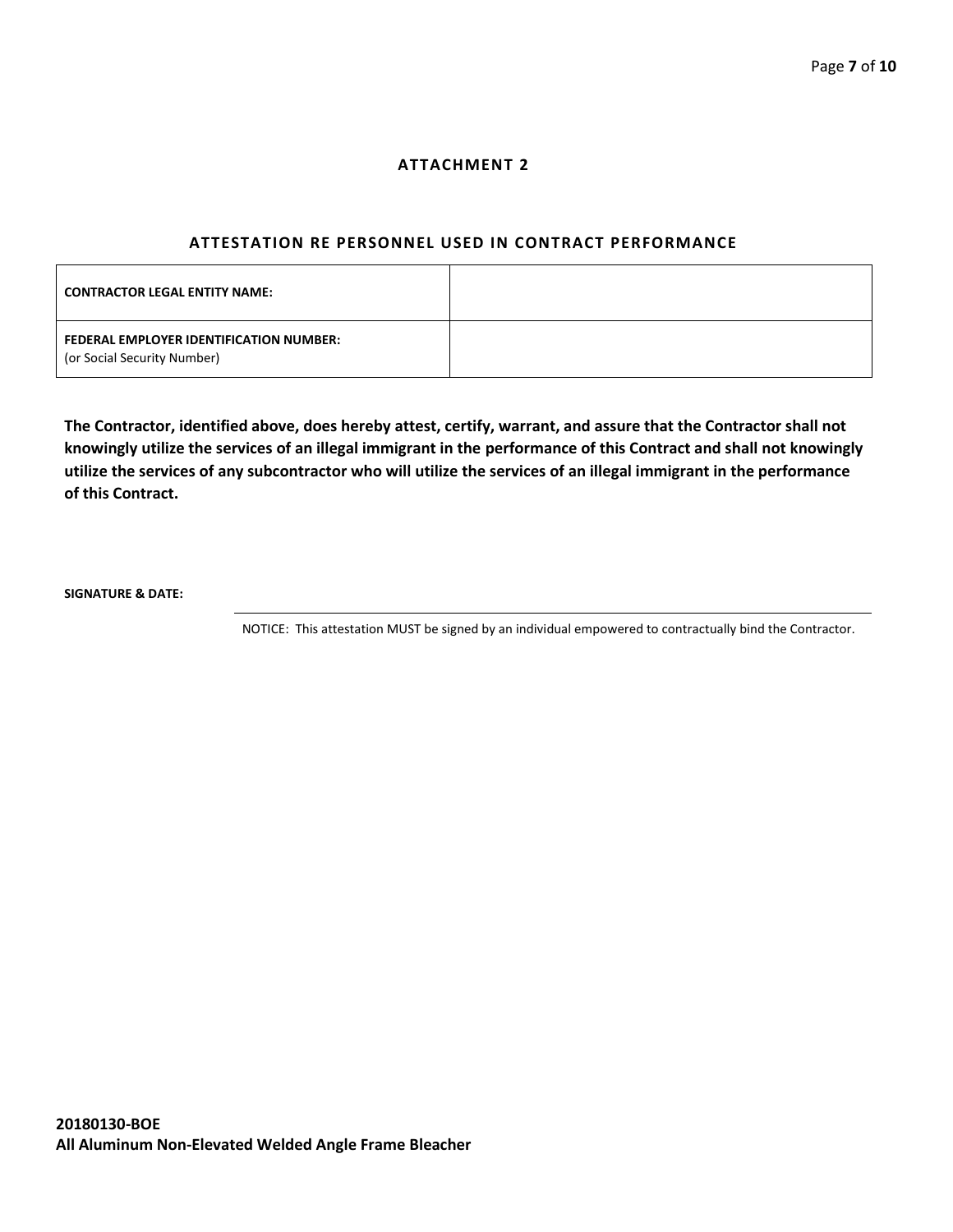## **ATTACHMENT 2**

#### **ATTESTATION RE PERSONNEL USED IN CONTRACT PERFORMANCE**

| <b>CONTRACTOR LEGAL ENTITY NAME:</b>                                   |  |
|------------------------------------------------------------------------|--|
| FEDERAL EMPLOYER IDENTIFICATION NUMBER:<br>(or Social Security Number) |  |

**The Contractor, identified above, does hereby attest, certify, warrant, and assure that the Contractor shall not knowingly utilize the services of an illegal immigrant in the performance of this Contract and shall not knowingly utilize the services of any subcontractor who will utilize the services of an illegal immigrant in the performance of this Contract.**

**SIGNATURE & DATE:**

NOTICE: This attestation MUST be signed by an individual empowered to contractually bind the Contractor.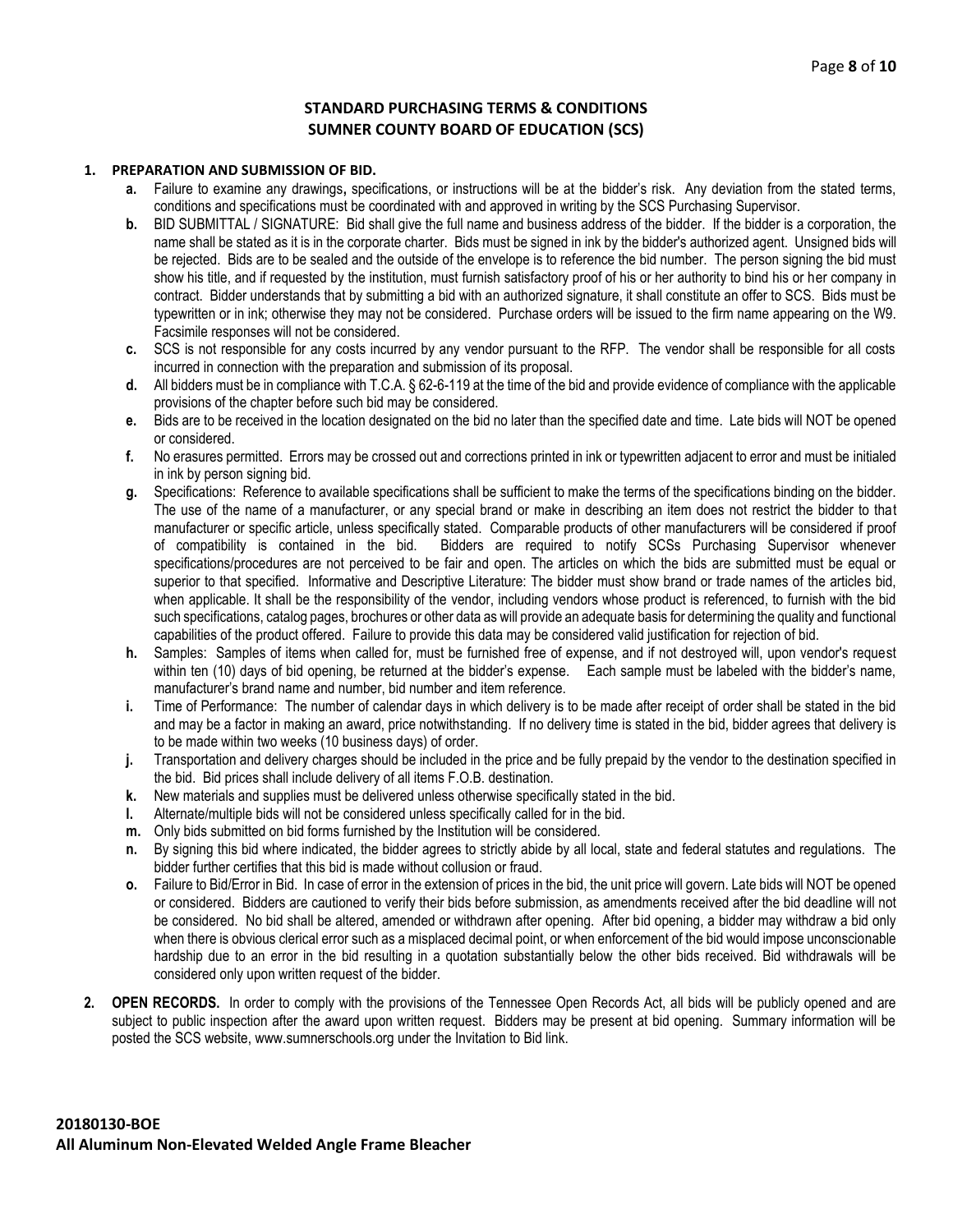## **STANDARD PURCHASING TERMS & CONDITIONS SUMNER COUNTY BOARD OF EDUCATION (SCS)**

#### **1. PREPARATION AND SUBMISSION OF BID.**

- **a.** Failure to examine any drawings**,** specifications, or instructions will be at the bidder's risk. Any deviation from the stated terms, conditions and specifications must be coordinated with and approved in writing by the SCS Purchasing Supervisor.
- **b.** BID SUBMITTAL / SIGNATURE: Bid shall give the full name and business address of the bidder. If the bidder is a corporation, the name shall be stated as it is in the corporate charter. Bids must be signed in ink by the bidder's authorized agent. Unsigned bids will be rejected. Bids are to be sealed and the outside of the envelope is to reference the bid number. The person signing the bid must show his title, and if requested by the institution, must furnish satisfactory proof of his or her authority to bind his or her company in contract. Bidder understands that by submitting a bid with an authorized signature, it shall constitute an offer to SCS. Bids must be typewritten or in ink; otherwise they may not be considered. Purchase orders will be issued to the firm name appearing on the W9. Facsimile responses will not be considered.
- **c.** SCS is not responsible for any costs incurred by any vendor pursuant to the RFP. The vendor shall be responsible for all costs incurred in connection with the preparation and submission of its proposal.
- **d.** All bidders must be in compliance with T.C.A. § 62-6-119 at the time of the bid and provide evidence of compliance with the applicable provisions of the chapter before such bid may be considered.
- **e.** Bids are to be received in the location designated on the bid no later than the specified date and time. Late bids will NOT be opened or considered.
- **f.** No erasures permitted. Errors may be crossed out and corrections printed in ink or typewritten adjacent to error and must be initialed in ink by person signing bid.
- **g.** Specifications: Reference to available specifications shall be sufficient to make the terms of the specifications binding on the bidder. The use of the name of a manufacturer, or any special brand or make in describing an item does not restrict the bidder to that manufacturer or specific article, unless specifically stated. Comparable products of other manufacturers will be considered if proof of compatibility is contained in the bid. Bidders are required to notify SCSs Purchasing Supervisor whenever specifications/procedures are not perceived to be fair and open. The articles on which the bids are submitted must be equal or superior to that specified. Informative and Descriptive Literature: The bidder must show brand or trade names of the articles bid, when applicable. It shall be the responsibility of the vendor, including vendors whose product is referenced, to furnish with the bid such specifications, catalog pages, brochures or other data as will provide an adequate basis for determining the quality and functional capabilities of the product offered. Failure to provide this data may be considered valid justification for rejection of bid.
- **h.** Samples: Samples of items when called for, must be furnished free of expense, and if not destroyed will, upon vendor's request within ten (10) days of bid opening, be returned at the bidder's expense. Each sample must be labeled with the bidder's name, manufacturer's brand name and number, bid number and item reference.
- **i.** Time of Performance: The number of calendar days in which delivery is to be made after receipt of order shall be stated in the bid and may be a factor in making an award, price notwithstanding. If no delivery time is stated in the bid, bidder agrees that delivery is to be made within two weeks (10 business days) of order.
- **j.** Transportation and delivery charges should be included in the price and be fully prepaid by the vendor to the destination specified in the bid. Bid prices shall include delivery of all items F.O.B. destination.
- **k.** New materials and supplies must be delivered unless otherwise specifically stated in the bid.
- **l.** Alternate/multiple bids will not be considered unless specifically called for in the bid.
- **m.** Only bids submitted on bid forms furnished by the Institution will be considered.
- **n.** By signing this bid where indicated, the bidder agrees to strictly abide by all local, state and federal statutes and regulations. The bidder further certifies that this bid is made without collusion or fraud.
- **o.** Failure to Bid/Error in Bid. In case of error in the extension of prices in the bid, the unit price will govern. Late bids will NOT be opened or considered. Bidders are cautioned to verify their bids before submission, as amendments received after the bid deadline will not be considered. No bid shall be altered, amended or withdrawn after opening. After bid opening, a bidder may withdraw a bid only when there is obvious clerical error such as a misplaced decimal point, or when enforcement of the bid would impose unconscionable hardship due to an error in the bid resulting in a quotation substantially below the other bids received. Bid withdrawals will be considered only upon written request of the bidder.
- **2. OPEN RECORDS.** In order to comply with the provisions of the Tennessee Open Records Act, all bids will be publicly opened and are subject to public inspection after the award upon written request. Bidders may be present at bid opening. Summary information will be posted the SCS website, www.sumnerschools.org under the Invitation to Bid link.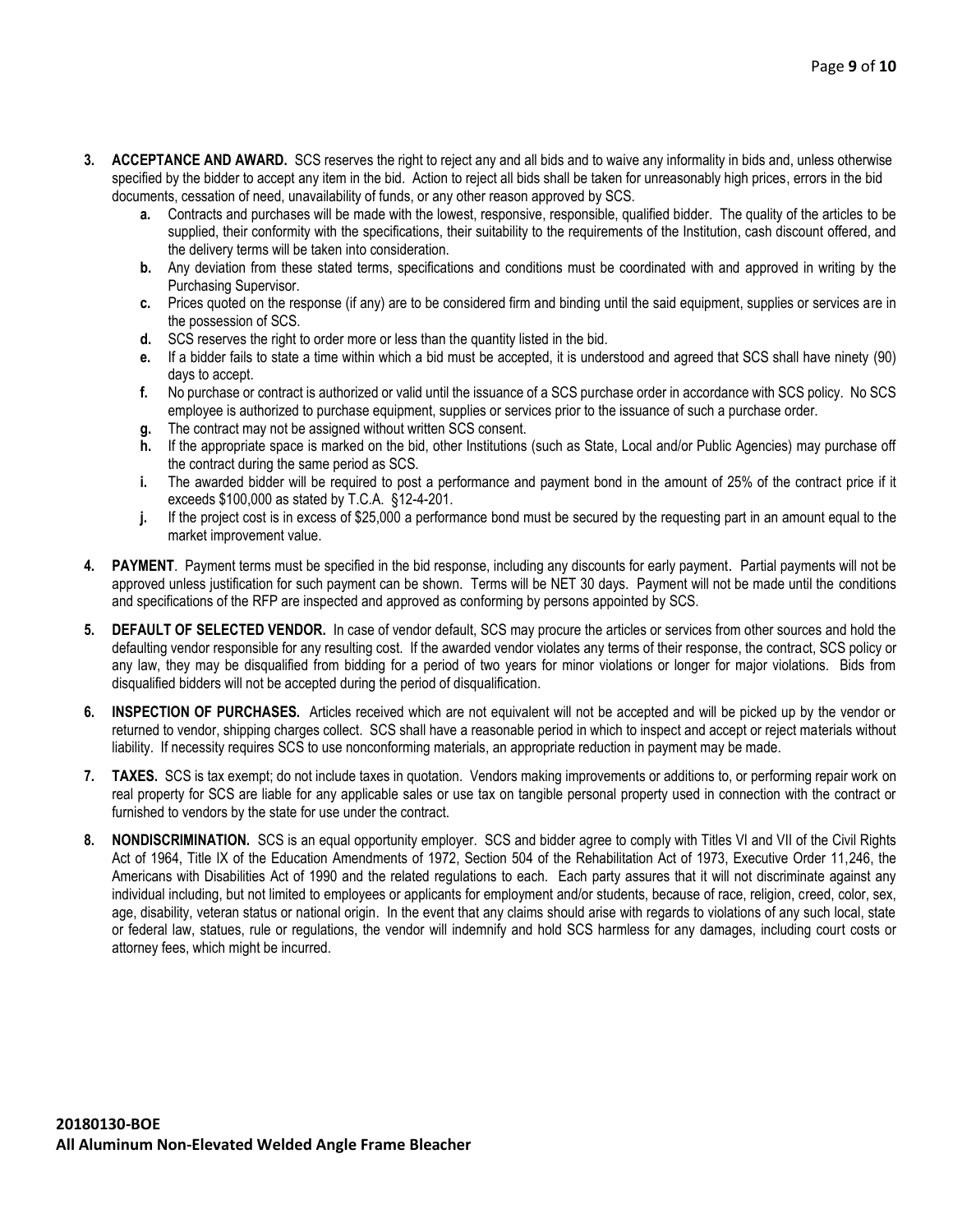- **3. ACCEPTANCE AND AWARD.** SCS reserves the right to reject any and all bids and to waive any informality in bids and, unless otherwise specified by the bidder to accept any item in the bid. Action to reject all bids shall be taken for unreasonably high prices, errors in the bid documents, cessation of need, unavailability of funds, or any other reason approved by SCS.
	- **a.** Contracts and purchases will be made with the lowest, responsive, responsible, qualified bidder. The quality of the articles to be supplied, their conformity with the specifications, their suitability to the requirements of the Institution, cash discount offered, and the delivery terms will be taken into consideration.
	- **b.** Any deviation from these stated terms, specifications and conditions must be coordinated with and approved in writing by the Purchasing Supervisor.
	- **c.** Prices quoted on the response (if any) are to be considered firm and binding until the said equipment, supplies or services are in the possession of SCS.
	- **d.** SCS reserves the right to order more or less than the quantity listed in the bid.
	- **e.** If a bidder fails to state a time within which a bid must be accepted, it is understood and agreed that SCS shall have ninety (90) days to accept.
	- **f.** No purchase or contract is authorized or valid until the issuance of a SCS purchase order in accordance with SCS policy. No SCS employee is authorized to purchase equipment, supplies or services prior to the issuance of such a purchase order.
	- **g.** The contract may not be assigned without written SCS consent.
	- **h.** If the appropriate space is marked on the bid, other Institutions (such as State, Local and/or Public Agencies) may purchase off the contract during the same period as SCS.
	- **i.** The awarded bidder will be required to post a performance and payment bond in the amount of 25% of the contract price if it exceeds \$100,000 as stated by T.C.A. §12-4-201.
	- **j.** If the project cost is in excess of \$25,000 a performance bond must be secured by the requesting part in an amount equal to the market improvement value.
- **4. PAYMENT**. Payment terms must be specified in the bid response, including any discounts for early payment. Partial payments will not be approved unless justification for such payment can be shown. Terms will be NET 30 days. Payment will not be made until the conditions and specifications of the RFP are inspected and approved as conforming by persons appointed by SCS.
- **5. DEFAULT OF SELECTED VENDOR.** In case of vendor default, SCS may procure the articles or services from other sources and hold the defaulting vendor responsible for any resulting cost. If the awarded vendor violates any terms of their response, the contract, SCS policy or any law, they may be disqualified from bidding for a period of two years for minor violations or longer for major violations. Bids from disqualified bidders will not be accepted during the period of disqualification.
- **6. INSPECTION OF PURCHASES.** Articles received which are not equivalent will not be accepted and will be picked up by the vendor or returned to vendor, shipping charges collect. SCS shall have a reasonable period in which to inspect and accept or reject materials without liability. If necessity requires SCS to use nonconforming materials, an appropriate reduction in payment may be made.
- **7. TAXES.** SCS is tax exempt; do not include taxes in quotation. Vendors making improvements or additions to, or performing repair work on real property for SCS are liable for any applicable sales or use tax on tangible personal property used in connection with the contract or furnished to vendors by the state for use under the contract.
- **8. NONDISCRIMINATION.** SCS is an equal opportunity employer. SCS and bidder agree to comply with Titles VI and VII of the Civil Rights Act of 1964, Title IX of the Education Amendments of 1972, Section 504 of the Rehabilitation Act of 1973, Executive Order 11,246, the Americans with Disabilities Act of 1990 and the related regulations to each. Each party assures that it will not discriminate against any individual including, but not limited to employees or applicants for employment and/or students, because of race, religion, creed, color, sex, age, disability, veteran status or national origin. In the event that any claims should arise with regards to violations of any such local, state or federal law, statues, rule or regulations, the vendor will indemnify and hold SCS harmless for any damages, including court costs or attorney fees, which might be incurred.